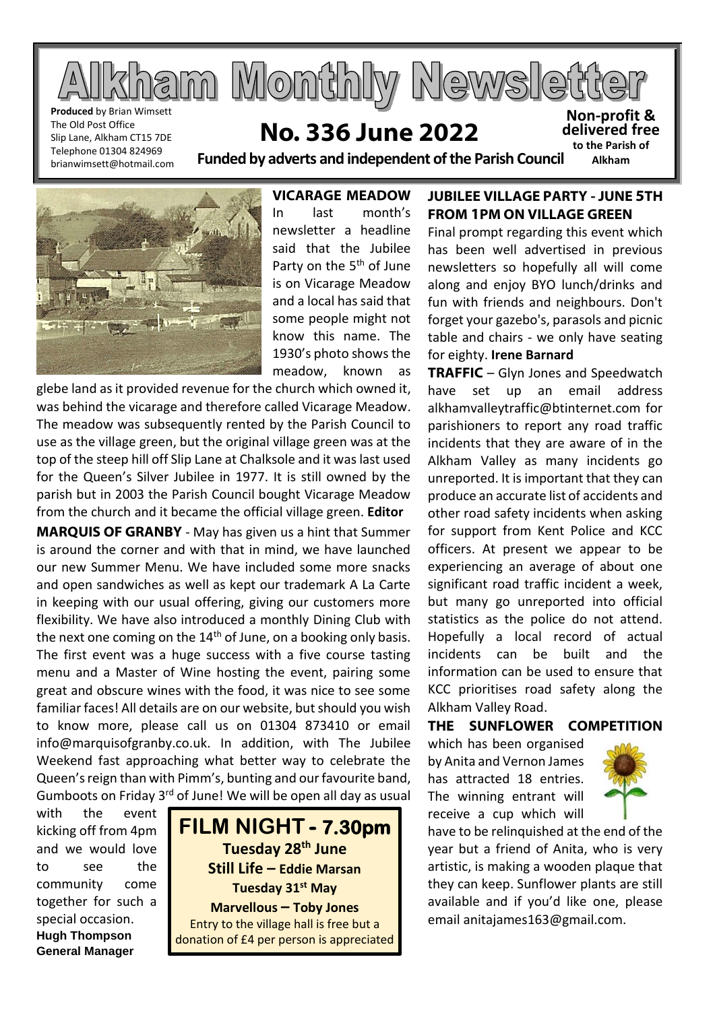

The Old Post Office Slip Lane, Alkham CT15 7DE Telephone 01304 824969 brianwimsett@hotmail.com

# **No. 336 June 2022**

**Funded by adverts and independent of the Parish Council Non-profit & delivered free to the Parish of Alkham**

**VICARAGE MEADOW** In last month's newsletter a headline said that the Jubilee Party on the 5<sup>th</sup> of June is on Vicarage Meadow and a local has said that some people might not know this name. The 1930's photo shows the meadow, known as

glebe land as it provided revenue for the church which owned it, was behind the vicarage and therefore called Vicarage Meadow. The meadow was subsequently rented by the Parish Council to use as the village green, but the original village green was at the top of the steep hill off Slip Lane at Chalksole and it was last used for the Queen's Silver Jubilee in 1977. It is still owned by the parish but in 2003 the Parish Council bought Vicarage Meadow from the church and it became the official village green. **Editor**

**MARQUIS OF GRANBY** - May has given us a hint that Summer is around the corner and with that in mind, we have launched our new Summer Menu. We have included some more snacks and open sandwiches as well as kept our trademark A La Carte in keeping with our usual offering, giving our customers more flexibility. We have also introduced a monthly Dining Club with the next one coming on the 14<sup>th</sup> of June, on a booking only basis. The first event was a huge success with a five course tasting menu and a Master of Wine hosting the event, pairing some great and obscure wines with the food, it was nice to see some familiar faces! All details are on our website, but should you wish to know more, please call us on 01304 873410 or email info@marquisofgranby.co.uk. In addition, with The Jubilee Weekend fast approaching what better way to celebrate the Queen's reign than with Pimm's, bunting and our favourite band, Gumboots on Friday 3<sup>rd</sup> of June! We will be open all day as usual

with the event kicking off from 4pm and we would love to see the community come together for such a special occasion. **Hugh Thompson General Manager**



## **JUBILEE VILLAGE PARTY - JUNE 5TH FROM 1PM ON VILLAGE GREEN**

Final prompt regarding this event which has been well advertised in previous newsletters so hopefully all will come along and enjoy BYO lunch/drinks and fun with friends and neighbours. Don't forget your gazebo's, parasols and picnic table and chairs - we only have seating for eighty. **Irene Barnard**

**TRAFFIC** – Glyn Jones and Speedwatch have set up an email address alkhamvalleytraffic@btinternet.com for parishioners to report any road traffic incidents that they are aware of in the Alkham Valley as many incidents go unreported. It is important that they can produce an accurate list of accidents and other road safety incidents when asking for support from Kent Police and KCC officers. At present we appear to be experiencing an average of about one significant road traffic incident a week, but many go unreported into official statistics as the police do not attend. Hopefully a local record of actual incidents can be built and the information can be used to ensure that KCC prioritises road safety along the Alkham Valley Road.

### **THE SUNFLOWER COMPETITION**

which has been organised by Anita and Vernon James has attracted 18 entries. The winning entrant will receive a cup which will



have to be relinquished at the end of the year but a friend of Anita, who is very artistic, is making a wooden plaque that they can keep. Sunflower plants are still available and if you'd like one, please email anitajames163@gmail.com.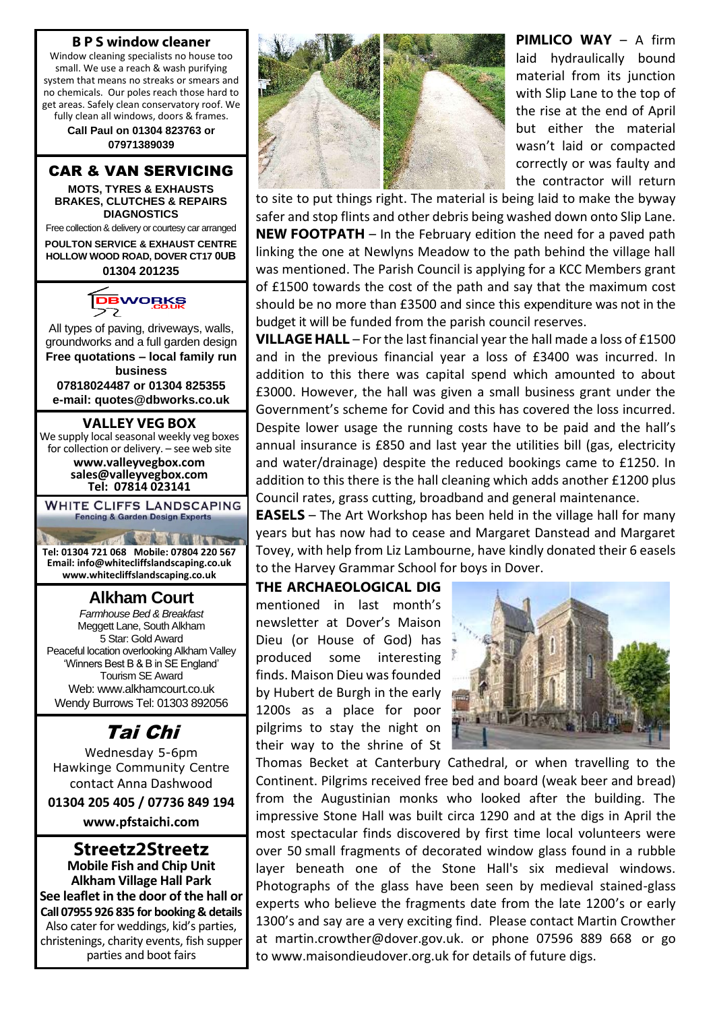#### **B P S window cleaner**

Window cleaning specialists no house too small. We use a reach & wash purifying system that means no streaks or smears and no chemicals. Our poles reach those hard to get areas. Safely clean conservatory roof. We fully clean all windows, doors & frames.

> **Call Paul on 01304 823763 or 07971389039**

#### CAR & VAN SERVICING

**MOTS, TYRES & EXHAUSTS BRAKES, CLUTCHES & REPAIRS DIAGNOSTICS**

Free collection & delivery or courtesy car arranged **POULTON SERVICE & EXHAUST CENTRE HOLLOW WOOD ROAD, DOVER CT17 0UB**

**01304 201235**



All types of paving, driveways, walls, groundworks and a full garden design **Free quotations – local family run** 

**business 07818024487 or 01304 825355 e-mail: quotes@dbworks.co.uk**

**VALLEY VEG BOX** We supply local seasonal weekly veg boxes for collection or delivery. – see web site

> **www.valleyvegbox.com sales@valleyvegbox.com Tel: 07814 023141**

**WHITE CLIFFS LANDSCAPING Fencing & Garden Design Experts** 

 $\sqrt{3}$ **START AND ALL TONIES Tel: 01304 721 068 Mobile: 07804 220 567 Email: info@whitecliffslandscaping.co.uk www.whitecliffslandscaping.co.uk**

# **Alkham Court**

*Farmhouse Bed & Breakfast* Meggett Lane, South Alkham 5 Star: Gold Award Peaceful location overlooking Alkham Valley 'Winners Best B & B in SE England' Tourism SE Award Web: www.alkhamcourt.co.uk Wendy Burrows Tel: 01303 892056

# Tai Chi

Wednesday 5-6pm Hawkinge Community Centre contact Anna Dashwood

**01304 205 405 / 07736 849 194**

**[www.pfstaichi.com](http://www.pfstaichi.com/)**

#### **Streetz2Streetz Mobile Fish and Chip Unit Alkham Village Hall Park See leaflet in the door of the hall or Call 07955 926 835 for booking & details** Also cater for weddings, kid's parties, christenings, charity events, fish supper parties and boot fairs



**PIMLICO WAY** – A firm laid hydraulically bound material from its junction with Slip Lane to the top of the rise at the end of April but either the material wasn't laid or compacted correctly or was faulty and the contractor will return

to site to put things right. The material is being laid to make the byway safer and stop flints and other debris being washed down onto Slip Lane. **NEW FOOTPATH** – In the February edition the need for a paved path linking the one at Newlyns Meadow to the path behind the village hall was mentioned. The Parish Council is applying for a KCC Members grant of £1500 towards the cost of the path and say that the maximum cost should be no more than £3500 and since this expenditure was not in the budget it will be funded from the parish council reserves.

**VILLAGE HALL** – For the last financial year the hall made a loss of £1500 and in the previous financial year a loss of £3400 was incurred. In addition to this there was capital spend which amounted to about £3000. However, the hall was given a small business grant under the Government's scheme for Covid and this has covered the loss incurred. Despite lower usage the running costs have to be paid and the hall's annual insurance is £850 and last year the utilities bill (gas, electricity and water/drainage) despite the reduced bookings came to £1250. In addition to this there is the hall cleaning which adds another £1200 plus Council rates, grass cutting, broadband and general maintenance.

**EASELS** – The Art Workshop has been held in the village hall for many years but has now had to cease and Margaret Danstead and Margaret Tovey, with help from Liz Lambourne, have kindly donated their 6 easels to the Harvey Grammar School for boys in Dover.

# **THE ARCHAEOLOGICAL DIG**

mentioned in last month's newsletter at Dover's Maison Dieu (or House of God) has produced some interesting finds. Maison Dieu was founded by Hubert de Burgh in the early 1200s as a place for poor pilgrims to stay the night on their way to the shrine of St



Thomas Becket at Canterbury Cathedral, or when travelling to the Continent. Pilgrims received free bed and board (weak beer and bread) from the Augustinian monks who looked after the building. The impressive Stone Hall was built circa 1290 and at the digs in April the most spectacular finds discovered by first time local volunteers were over 50 small fragments of decorated window glass found in a rubble layer beneath one of the Stone Hall's six medieval windows. Photographs of the glass have been seen by medieval stained-glass experts who believe the fragments date from the late 1200's or early 1300's and say are a very exciting find. Please contact Martin Crowther at martin.crowther@dover.gov.uk. or phone 07596 889 668 or go to www.maisondieudover.org.uk for details of future digs.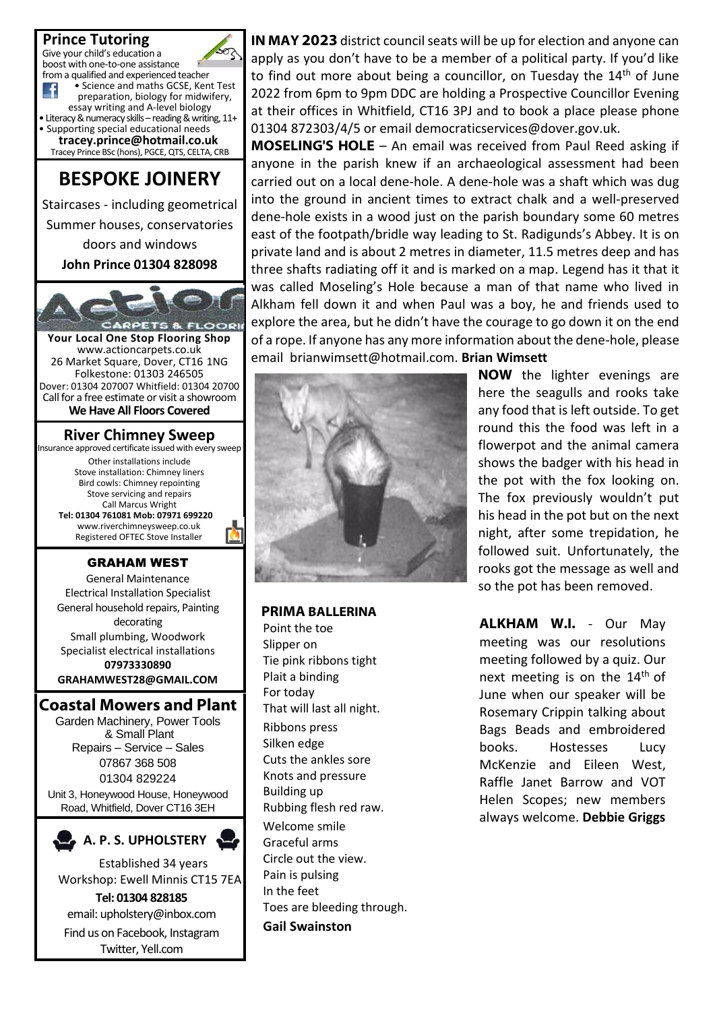

Find us on Facebook, Instagram Twitter, Yell.com

**IN MAY 2023** district council seats will be up for election and anyone can apply as you don't have to be a member of a political party. If you'd like to find out more about being a councillor, on Tuesday the  $14<sup>th</sup>$  of June 2022 from 6pm to 9pm DDC are holding a Prospective Councillor Evening at their offices in Whitfield, CT16 3PJ and to book a place please phone 01304 872303/4/5 or email democraticservices@dover.gov.uk.

**MOSELING'S HOLE** – An email was received from Paul Reed asking if anyone in the parish knew if an archaeological assessment had been carried out on a local dene-hole. A dene-hole was a shaft which was dug into the ground in ancient times to extract chalk and a well-preserved dene-hole exists in a wood just on the parish boundary some 60 metres east of the footpath/bridle way leading to St. Radigunds's Abbey. It is on private land and is about 2 metres in diameter, 11.5 metres deep and has three shafts radiating off it and is marked on a map. Legend has it that it was called Moseling's Hole because a man of that name who lived in Alkham fell down it and when Paul was a boy, he and friends used to explore the area, but he didn't have the courage to go down it on the end of a rope. If anyone has any more information about the dene-hole, please email brianwimsett@hotmail.com. **Brian Wimsett**



#### **PRIMA BALLERINA**

Point the toe Slipper on Tie pink ribbons tight Plait a binding For today That will last all night. Ribbons press Silken edge Cuts the ankles sore Knots and pressure Building up Rubbing flesh red raw. Welcome smile Graceful arms Circle out the view. Pain is pulsing In the feet Toes are bleeding through. **Gail Swainston**

**NOW** the lighter evenings are here the seagulls and rooks take any food that is left outside. To get round this the food was left in a flowerpot and the animal camera shows the badger with his head in the pot with the fox looking on. The fox previously wouldn't put his head in the pot but on the next night, after some trepidation, he followed suit. Unfortunately, the rooks got the message as well and so the pot has been removed.

**ALKHAM W.I.** - Our May meeting was our resolutions meeting followed by a quiz. Our next meeting is on the 14<sup>th</sup> of June when our speaker will be Rosemary Crippin talking about Bags Beads and embroidered books. Hostesses Lucy McKenzie and Eileen West, Raffle Janet Barrow and VOT Helen Scopes; new members always welcome. **Debbie Griggs**